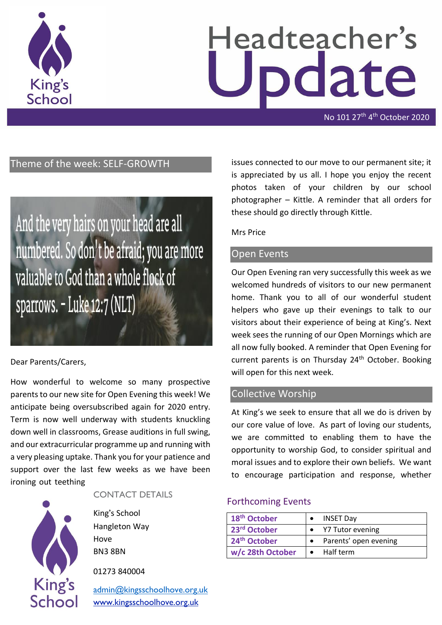

# Headteacher's date

No 101 27<sup>th</sup> 4<sup>th</sup> October 2020

# Theme of the week: SELF-GROWTH

And the very hairs on your head are all numbered. So don't be afraid; you are more valuable to God than a whole flock of sparrows. - Luke 12:7 (NLT)

## Dear Parents/Carers,

How wonderful to welcome so many prospective parents to our new site for Open Evening this week! We anticipate being oversubscribed again for 2020 entry. Term is now well underway with students knuckling down well in classrooms, Grease auditions in full swing, and our extracurricular programme up and running with a very pleasing uptake. Thank you for your patience and support over the last few weeks as we have been ironing out teething



#### CONTACT DETAILS

King's School Hangleton Way Hove BN3 8BN

01273 840004

[admin@kingsschoolhove.org.uk](mailto:admin@kingsschoolhove.org.uk) [www.kingsschoolhove.org.uk](http://www.kingsschoolhove.org.uk/)

issues connected to our move to our permanent site; it is appreciated by us all. I hope you enjoy the recent photos taken of your children by our school photographer – Kittle. A reminder that all orders for these should go directly through Kittle.

#### Mrs Price

## Open Events

Our Open Evening ran very successfully this week as we welcomed hundreds of visitors to our new permanent home. Thank you to all of our wonderful student helpers who gave up their evenings to talk to our visitors about their experience of being at King's. Next week sees the running of our Open Mornings which are all now fully booked. A reminder that Open Evening for current parents is on Thursday 24<sup>th</sup> October. Booking will open for this next week.

## Collective Worship

At King's we seek to ensure that all we do is driven by our core value of love. As part of loving our students, we are committed to enabling them to have the opportunity to worship God, to consider spiritual and moral issues and to explore their own beliefs. We want to encourage participation and response, whether

## Forthcoming Events

| 18 <sup>th</sup> October | <b>INSET Day</b>      |
|--------------------------|-----------------------|
| 23 <sup>rd</sup> October | Y7 Tutor evening      |
| 24 <sup>th</sup> October | Parents' open evening |
| w/c 28th October         | $\bullet$ Half term   |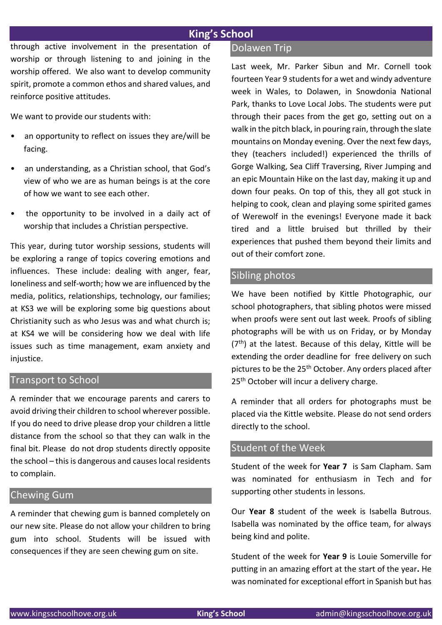# **King's School**

through active involvement in the presentation of worship or through listening to and joining in the worship offered. We also want to develop community spirit, promote a common ethos and shared values, and reinforce positive attitudes.

We want to provide our students with:

- an opportunity to reflect on issues they are/will be facing.
- an understanding, as a Christian school, that God's view of who we are as human beings is at the core of how we want to see each other.
- the opportunity to be involved in a daily act of worship that includes a Christian perspective.

This year, during tutor worship sessions, students will be exploring a range of topics covering emotions and influences. These include: dealing with anger, fear, loneliness and self-worth; how we are influenced by the media, politics, relationships, technology, our families; at KS3 we will be exploring some big questions about Christianity such as who Jesus was and what church is; at KS4 we will be considering how we deal with life issues such as time management, exam anxiety and injustice.

# Transport to School

A reminder that we encourage parents and carers to avoid driving their children to school wherever possible. If you do need to drive please drop your children a little distance from the school so that they can walk in the final bit. Please do not drop students directly opposite the school – this is dangerous and causes local residents to complain.

#### Chewing Gum

A reminder that chewing gum is banned completely on our new site. Please do not allow your children to bring gum into school. Students will be issued with consequences if they are seen chewing gum on site.

#### **Dolawen Trip**

Last week, Mr. Parker Sibun and Mr. Cornell took fourteen Year 9 students for a wet and windy adventure week in Wales, to Dolawen, in Snowdonia National Park, thanks to Love Local Jobs. The students were put through their paces from the get go, setting out on a walk in the pitch black, in pouring rain, through the slate mountains on Monday evening. Over the next few days, they (teachers included!) experienced the thrills of Gorge Walking, Sea Cliff Traversing, River Jumping and an epic Mountain Hike on the last day, making it up and down four peaks. On top of this, they all got stuck in helping to cook, clean and playing some spirited games of Werewolf in the evenings! Everyone made it back tired and a little bruised but thrilled by their experiences that pushed them beyond their limits and out of their comfort zone.

#### Sibling photos

We have been notified by Kittle Photographic, our school photographers, that sibling photos were missed when proofs were sent out last week. Proofs of sibling photographs will be with us on Friday, or by Monday  $(7<sup>th</sup>)$  at the latest. Because of this delay, Kittle will be extending the order deadline for free delivery on such pictures to be the 25<sup>th</sup> October. Any orders placed after 25<sup>th</sup> October will incur a delivery charge.

A reminder that all orders for photographs must be placed via the Kittle website. Please do not send orders directly to the school.

# Student of the Week

Student of the week for **Year 7** is Sam Clapham. Sam was nominated for enthusiasm in Tech and for supporting other students in lessons.

Our **Year 8** student of the week is Isabella Butrous. Isabella was nominated by the office team, for always being kind and polite.

Student of the week for **Year 9** is Louie Somerville for putting in an amazing effort at the start of the year**.** He was nominated for exceptional effort in Spanish but has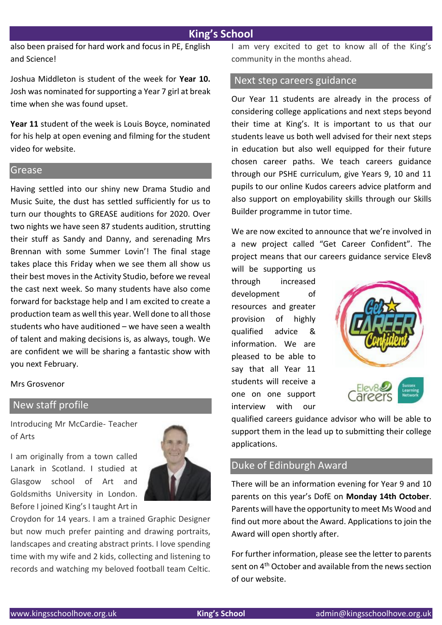# **King's School**

also been praised for hard work and focus in PE, English and Science!

Joshua Middleton is student of the week for **Year 10.**  Josh was nominated for supporting a Year 7 girl at break time when she was found upset.

**Year 11** student of the week is Louis Boyce, nominated for his help at open evening and filming for the student video for website.

#### Grease

Having settled into our shiny new Drama Studio and Music Suite, the dust has settled sufficiently for us to turn our thoughts to GREASE auditions for 2020. Over two nights we have seen 87 students audition, strutting their stuff as Sandy and Danny, and serenading Mrs Brennan with some Summer Lovin'! The final stage takes place this Friday when we see them all show us their best moves in the Activity Studio, before we reveal the cast next week. So many students have also come forward for backstage help and I am excited to create a production team as well this year. Well done to all those students who have auditioned – we have seen a wealth of talent and making decisions is, as always, tough. We are confident we will be sharing a fantastic show with you next February.

Mrs Grosvenor

# New staff profile

Introducing Mr McCardie- Teacher of Arts

I am originally from a town called Lanark in Scotland. I studied at Glasgow school of Art and Goldsmiths University in London. Before I joined King's I taught Art in



Croydon for 14 years. I am a trained Graphic Designer but now much prefer painting and drawing portraits, landscapes and creating abstract prints. I love spending time with my wife and 2 kids, collecting and listening to records and watching my beloved football team Celtic.

I am very excited to get to know all of the King's community in the months ahead.

## Next step careers guidance

Our Year 11 students are already in the process of considering college applications and next steps beyond their time at King's. It is important to us that our students leave us both well advised for their next steps in education but also well equipped for their future chosen career paths. We teach careers guidance through our PSHE curriculum, give Years 9, 10 and 11 pupils to our online Kudos careers advice platform and also support on employability skills through our Skills Builder programme in tutor time.

We are now excited to announce that we're involved in a new project called "Get Career Confident". The project means that our careers guidance service Elev8

will be supporting us through increased development of resources and greater provision of highly qualified advice & information. We are pleased to be able to say that all Year 11 students will receive a one on one support interview with our



qualified careers guidance advisor who will be able to support them in the lead up to submitting their college applications.

## Duke of Edinburgh Award

There will be an information evening for Year 9 and 10 parents on this year's DofE on **Monday 14th October**. Parents will have the opportunity to meet Ms Wood and find out more about the Award. Applications to join the Award will open shortly after.

For further information, please see the letter to parents sent on 4th October and available from the news section of our website.